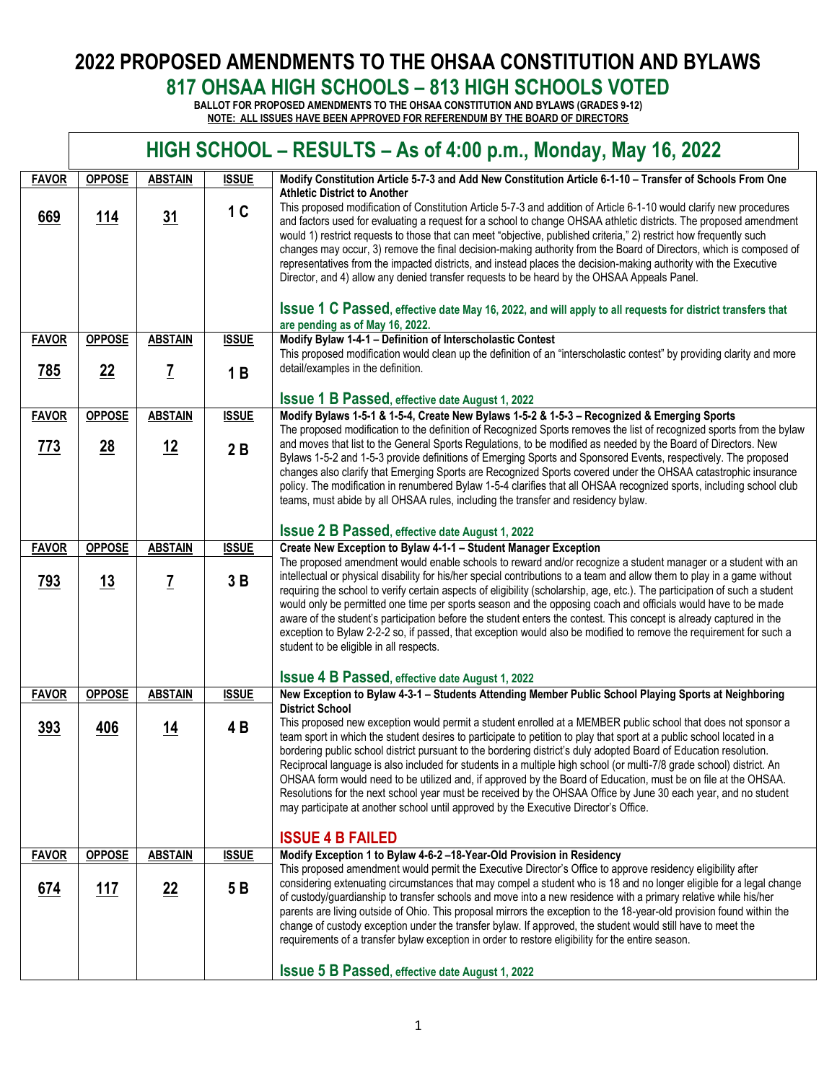## **2022 PROPOSED AMENDMENTS TO THE OHSAA CONSTITUTION AND BYLAWS 817 OHSAA HIGH SCHOOLS – 813 HIGH SCHOOLS VOTED**

**BALLOT FOR PROPOSED AMENDMENTS TO THE OHSAA CONSTITUTION AND BYLAWS (GRADES 9-12) NOTE: ALL ISSUES HAVE BEEN APPROVED FOR REFERENDUM BY THE BOARD OF DIRECTORS** 

|              | HIGH SCHOOL - RESULTS - As of 4:00 p.m., Monday, May 16, 2022 |                 |                |                                                                                                                                                                                                                                                                                                                                                                                                                                                                                                                                                                                                                                                                                                                                                                                                                                           |  |  |  |
|--------------|---------------------------------------------------------------|-----------------|----------------|-------------------------------------------------------------------------------------------------------------------------------------------------------------------------------------------------------------------------------------------------------------------------------------------------------------------------------------------------------------------------------------------------------------------------------------------------------------------------------------------------------------------------------------------------------------------------------------------------------------------------------------------------------------------------------------------------------------------------------------------------------------------------------------------------------------------------------------------|--|--|--|
| <b>FAVOR</b> | <b>OPPOSE</b>                                                 | <b>ABSTAIN</b>  | <b>ISSUE</b>   | Modify Constitution Article 5-7-3 and Add New Constitution Article 6-1-10 - Transfer of Schools From One                                                                                                                                                                                                                                                                                                                                                                                                                                                                                                                                                                                                                                                                                                                                  |  |  |  |
| 669          | 114                                                           | 31              | 1 <sup>C</sup> | <b>Athletic District to Another</b><br>This proposed modification of Constitution Article 5-7-3 and addition of Article 6-1-10 would clarify new procedures<br>and factors used for evaluating a request for a school to change OHSAA athletic districts. The proposed amendment<br>would 1) restrict requests to those that can meet "objective, published criteria," 2) restrict how frequently such<br>changes may occur, 3) remove the final decision-making authority from the Board of Directors, which is composed of<br>representatives from the impacted districts, and instead places the decision-making authority with the Executive<br>Director, and 4) allow any denied transfer requests to be heard by the OHSAA Appeals Panel.                                                                                           |  |  |  |
|              |                                                               |                 |                | <b>ISSUE 1 C Passed, effective date May 16, 2022, and will apply to all requests for district transfers that</b><br>are pending as of May 16, 2022.                                                                                                                                                                                                                                                                                                                                                                                                                                                                                                                                                                                                                                                                                       |  |  |  |
| <b>FAVOR</b> | <b>OPPOSE</b>                                                 | <b>ABSTAIN</b>  | <b>ISSUE</b>   | Modify Bylaw 1-4-1 - Definition of Interscholastic Contest<br>This proposed modification would clean up the definition of an "interscholastic contest" by providing clarity and more                                                                                                                                                                                                                                                                                                                                                                                                                                                                                                                                                                                                                                                      |  |  |  |
| 785          | 22                                                            | $\underline{7}$ | 1B             | detail/examples in the definition.                                                                                                                                                                                                                                                                                                                                                                                                                                                                                                                                                                                                                                                                                                                                                                                                        |  |  |  |
|              |                                                               |                 |                | <b>ISSUE 1 B Passed, effective date August 1, 2022</b>                                                                                                                                                                                                                                                                                                                                                                                                                                                                                                                                                                                                                                                                                                                                                                                    |  |  |  |
| <b>FAVOR</b> | <b>OPPOSE</b>                                                 | <b>ABSTAIN</b>  | <b>ISSUE</b>   | Modify Bylaws 1-5-1 & 1-5-4, Create New Bylaws 1-5-2 & 1-5-3 - Recognized & Emerging Sports                                                                                                                                                                                                                                                                                                                                                                                                                                                                                                                                                                                                                                                                                                                                               |  |  |  |
| 773          | $\underline{28}$                                              | <u>12</u>       | 2B             | The proposed modification to the definition of Recognized Sports removes the list of recognized sports from the bylaw<br>and moves that list to the General Sports Regulations, to be modified as needed by the Board of Directors. New<br>Bylaws 1-5-2 and 1-5-3 provide definitions of Emerging Sports and Sponsored Events, respectively. The proposed<br>changes also clarify that Emerging Sports are Recognized Sports covered under the OHSAA catastrophic insurance<br>policy. The modification in renumbered Bylaw 1-5-4 clarifies that all OHSAA recognized sports, including school club<br>teams, must abide by all OHSAA rules, including the transfer and residency bylaw.                                                                                                                                                  |  |  |  |
|              |                                                               |                 |                | <b>ISSUE 2 B Passed, effective date August 1, 2022</b>                                                                                                                                                                                                                                                                                                                                                                                                                                                                                                                                                                                                                                                                                                                                                                                    |  |  |  |
| <b>FAVOR</b> | <b>OPPOSE</b>                                                 | <b>ABSTAIN</b>  | <b>ISSUE</b>   | Create New Exception to Bylaw 4-1-1 - Student Manager Exception                                                                                                                                                                                                                                                                                                                                                                                                                                                                                                                                                                                                                                                                                                                                                                           |  |  |  |
| 793          | 13                                                            | <u>7</u>        | 3B             | The proposed amendment would enable schools to reward and/or recognize a student manager or a student with an<br>intellectual or physical disability for his/her special contributions to a team and allow them to play in a game without<br>requiring the school to verify certain aspects of eligibility (scholarship, age, etc.). The participation of such a student<br>would only be permitted one time per sports season and the opposing coach and officials would have to be made<br>aware of the student's participation before the student enters the contest. This concept is already captured in the<br>exception to Bylaw 2-2-2 so, if passed, that exception would also be modified to remove the requirement for such a<br>student to be eligible in all respects.                                                         |  |  |  |
|              |                                                               |                 |                | <b>ISSUE 4 B Passed, effective date August 1, 2022</b>                                                                                                                                                                                                                                                                                                                                                                                                                                                                                                                                                                                                                                                                                                                                                                                    |  |  |  |
| <b>FAVOR</b> | <b>OPPOSE</b>                                                 | <b>ABSTAIN</b>  | <b>ISSUE</b>   | New Exception to Bylaw 4-3-1 - Students Attending Member Public School Playing Sports at Neighboring                                                                                                                                                                                                                                                                                                                                                                                                                                                                                                                                                                                                                                                                                                                                      |  |  |  |
| 393          | <u>406</u>                                                    | <u>14</u>       | 4 B            | <b>District School</b><br>This proposed new exception would permit a student enrolled at a MEMBER public school that does not sponsor a<br>team sport in which the student desires to participate to petition to play that sport at a public school located in a<br>bordering public school district pursuant to the bordering district's duly adopted Board of Education resolution.<br>Reciprocal language is also included for students in a multiple high school (or multi-7/8 grade school) district. An<br>OHSAA form would need to be utilized and, if approved by the Board of Education, must be on file at the OHSAA.<br>Resolutions for the next school year must be received by the OHSAA Office by June 30 each year, and no student<br>may participate at another school until approved by the Executive Director's Office. |  |  |  |
|              |                                                               |                 |                | <b>ISSUE 4 B FAILED</b>                                                                                                                                                                                                                                                                                                                                                                                                                                                                                                                                                                                                                                                                                                                                                                                                                   |  |  |  |
| <b>FAVOR</b> | <b>OPPOSE</b>                                                 | <b>ABSTAIN</b>  | <b>ISSUE</b>   | Modify Exception 1 to Bylaw 4-6-2-18-Year-Old Provision in Residency                                                                                                                                                                                                                                                                                                                                                                                                                                                                                                                                                                                                                                                                                                                                                                      |  |  |  |
| 674          | 117                                                           | 22              | 5B             | This proposed amendment would permit the Executive Director's Office to approve residency eligibility after<br>considering extenuating circumstances that may compel a student who is 18 and no longer eligible for a legal change<br>of custody/guardianship to transfer schools and move into a new residence with a primary relative while his/her<br>parents are living outside of Ohio. This proposal mirrors the exception to the 18-year-old provision found within the<br>change of custody exception under the transfer bylaw. If approved, the student would still have to meet the<br>requirements of a transfer bylaw exception in order to restore eligibility for the entire season.                                                                                                                                        |  |  |  |
|              |                                                               |                 |                | <b>ISSUE 5 B Passed, effective date August 1, 2022</b>                                                                                                                                                                                                                                                                                                                                                                                                                                                                                                                                                                                                                                                                                                                                                                                    |  |  |  |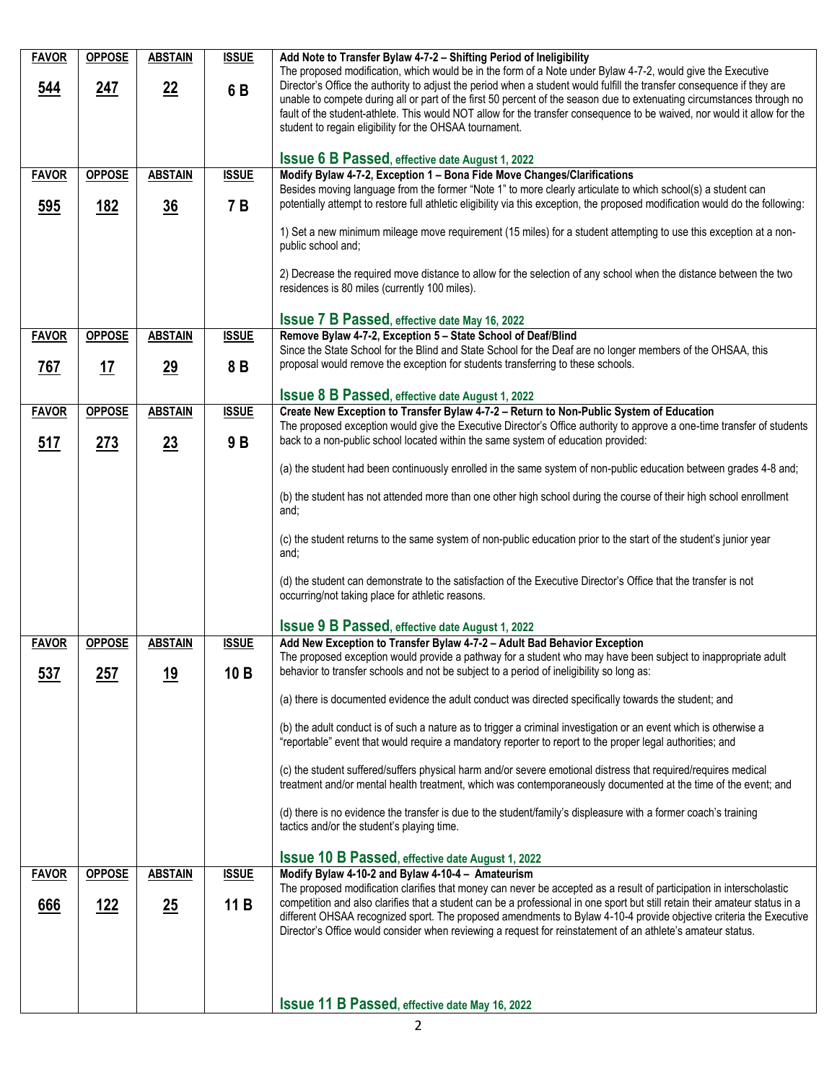| <b>FAVOR</b> | <b>OPPOSE</b> | <b>ABSTAIN</b> | <b>ISSUE</b> | Add Note to Transfer Bylaw 4-7-2 - Shifting Period of Ineligibility                                                                                                                                                                               |
|--------------|---------------|----------------|--------------|---------------------------------------------------------------------------------------------------------------------------------------------------------------------------------------------------------------------------------------------------|
|              |               |                |              | The proposed modification, which would be in the form of a Note under Bylaw 4-7-2, would give the Executive<br>Director's Office the authority to adjust the period when a student would fulfill the transfer consequence if they are             |
| 544          | 247           | 22             | 6B           | unable to compete during all or part of the first 50 percent of the season due to extenuating circumstances through no                                                                                                                            |
|              |               |                |              | fault of the student-athlete. This would NOT allow for the transfer consequence to be waived, nor would it allow for the                                                                                                                          |
|              |               |                |              | student to regain eligibility for the OHSAA tournament.                                                                                                                                                                                           |
|              |               |                |              | <b>ISSUE 6 B Passed, effective date August 1, 2022</b>                                                                                                                                                                                            |
| <b>FAVOR</b> | <b>OPPOSE</b> | <b>ABSTAIN</b> | <b>ISSUE</b> | Modify Bylaw 4-7-2, Exception 1 - Bona Fide Move Changes/Clarifications                                                                                                                                                                           |
|              |               |                | 7 B          | Besides moving language from the former "Note 1" to more clearly articulate to which school(s) a student can<br>potentially attempt to restore full athletic eligibility via this exception, the proposed modification would do the following:    |
| 595          | <u> 182</u>   | $\frac{36}{5}$ |              |                                                                                                                                                                                                                                                   |
|              |               |                |              | 1) Set a new minimum mileage move requirement (15 miles) for a student attempting to use this exception at a non-                                                                                                                                 |
|              |               |                |              | public school and;                                                                                                                                                                                                                                |
|              |               |                |              | 2) Decrease the required move distance to allow for the selection of any school when the distance between the two                                                                                                                                 |
|              |               |                |              | residences is 80 miles (currently 100 miles).                                                                                                                                                                                                     |
|              |               |                |              | <b>Issue 7 B Passed, effective date May 16, 2022</b>                                                                                                                                                                                              |
| <b>FAVOR</b> | <b>OPPOSE</b> | <b>ABSTAIN</b> | <b>ISSUE</b> | Remove Bylaw 4-7-2, Exception 5 - State School of Deaf/Blind                                                                                                                                                                                      |
|              |               |                |              | Since the State School for the Blind and State School for the Deaf are no longer members of the OHSAA, this                                                                                                                                       |
| <u>767</u>   | <u> 17</u>    | 29             | 8 B          | proposal would remove the exception for students transferring to these schools.                                                                                                                                                                   |
|              |               |                |              | <b>ISSUE 8 B Passed, effective date August 1, 2022</b>                                                                                                                                                                                            |
| <b>FAVOR</b> | <b>OPPOSE</b> | <b>ABSTAIN</b> | <b>ISSUE</b> | Create New Exception to Transfer Bylaw 4-7-2 - Return to Non-Public System of Education                                                                                                                                                           |
|              |               |                |              | The proposed exception would give the Executive Director's Office authority to approve a one-time transfer of students<br>back to a non-public school located within the same system of education provided:                                       |
| <u>517</u>   | 273           | 23             | 9B           |                                                                                                                                                                                                                                                   |
|              |               |                |              | (a) the student had been continuously enrolled in the same system of non-public education between grades 4-8 and;                                                                                                                                 |
|              |               |                |              | (b) the student has not attended more than one other high school during the course of their high school enrollment                                                                                                                                |
|              |               |                |              | and;                                                                                                                                                                                                                                              |
|              |               |                |              | (c) the student returns to the same system of non-public education prior to the start of the student's junior year                                                                                                                                |
|              |               |                |              | and;                                                                                                                                                                                                                                              |
|              |               |                |              | (d) the student can demonstrate to the satisfaction of the Executive Director's Office that the transfer is not                                                                                                                                   |
|              |               |                |              | occurring/not taking place for athletic reasons.                                                                                                                                                                                                  |
|              |               |                |              |                                                                                                                                                                                                                                                   |
| <b>FAVOR</b> | <b>OPPOSE</b> | <b>ABSTAIN</b> | <b>ISSUE</b> | <b>ISSUE 9 B Passed, effective date August 1, 2022</b><br>Add New Exception to Transfer Bylaw 4-7-2 - Adult Bad Behavior Exception                                                                                                                |
|              |               |                |              | The proposed exception would provide a pathway for a student who may have been subject to inappropriate adult                                                                                                                                     |
| 537          | 257           | <u>19</u>      | 10B          | behavior to transfer schools and not be subject to a period of ineligibility so long as:                                                                                                                                                          |
|              |               |                |              | (a) there is documented evidence the adult conduct was directed specifically towards the student; and                                                                                                                                             |
|              |               |                |              |                                                                                                                                                                                                                                                   |
|              |               |                |              | (b) the adult conduct is of such a nature as to trigger a criminal investigation or an event which is otherwise a<br>"reportable" event that would require a mandatory reporter to report to the proper legal authorities; and                    |
|              |               |                |              | (c) the student suffered/suffers physical harm and/or severe emotional distress that required/requires medical                                                                                                                                    |
|              |               |                |              | treatment and/or mental health treatment, which was contemporaneously documented at the time of the event; and                                                                                                                                    |
|              |               |                |              | (d) there is no evidence the transfer is due to the student/family's displeasure with a former coach's training                                                                                                                                   |
|              |               |                |              | tactics and/or the student's playing time.                                                                                                                                                                                                        |
|              |               |                |              | <b>ISSUE 10 B Passed, effective date August 1, 2022</b>                                                                                                                                                                                           |
| <b>FAVOR</b> | <b>OPPOSE</b> | <b>ABSTAIN</b> | <b>ISSUE</b> | Modify Bylaw 4-10-2 and Bylaw 4-10-4 - Amateurism                                                                                                                                                                                                 |
|              |               |                |              | The proposed modification clarifies that money can never be accepted as a result of participation in interscholastic                                                                                                                              |
| 666          | <u>122</u>    | 25             | 11B          | competition and also clarifies that a student can be a professional in one sport but still retain their amateur status in a<br>different OHSAA recognized sport. The proposed amendments to Bylaw 4-10-4 provide objective criteria the Executive |
|              |               |                |              | Director's Office would consider when reviewing a request for reinstatement of an athlete's amateur status.                                                                                                                                       |
|              |               |                |              |                                                                                                                                                                                                                                                   |
|              |               |                |              |                                                                                                                                                                                                                                                   |
|              |               |                |              |                                                                                                                                                                                                                                                   |
|              |               |                |              | <b>ISSUE 11 B Passed, effective date May 16, 2022</b>                                                                                                                                                                                             |